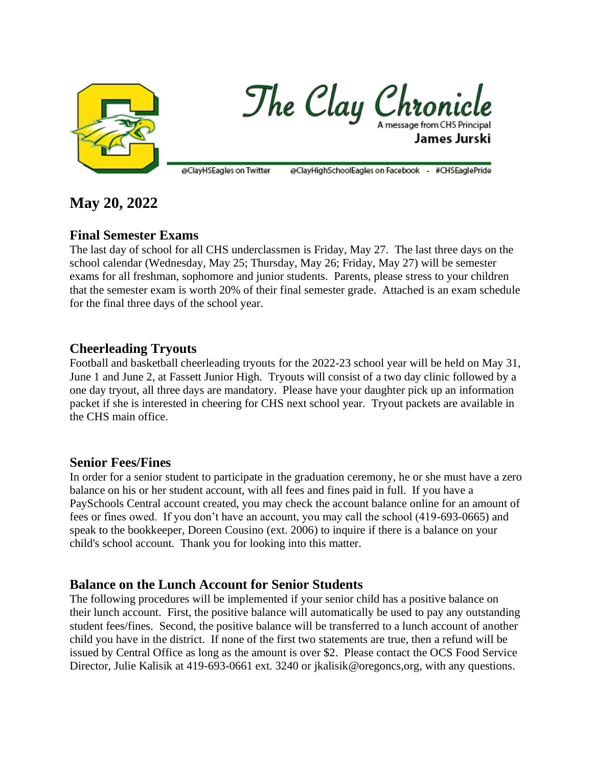

The Clay Chronicle James Jurski

@ClayHSEagles on Twitter @ClayHighSchoolEagles on Facebook - #CHSEaglePride

# **May 20, 2022**

# **Final Semester Exams**

The last day of school for all CHS underclassmen is Friday, May 27. The last three days on the school calendar (Wednesday, May 25; Thursday, May 26; Friday, May 27) will be semester exams for all freshman, sophomore and junior students. Parents, please stress to your children that the semester exam is worth 20% of their final semester grade. Attached is an exam schedule for the final three days of the school year.

## **Cheerleading Tryouts**

Football and basketball cheerleading tryouts for the 2022-23 school year will be held on May 31, June 1 and June 2, at Fassett Junior High. Tryouts will consist of a two day clinic followed by a one day tryout, all three days are mandatory. Please have your daughter pick up an information packet if she is interested in cheering for CHS next school year. Tryout packets are available in the CHS main office.

## **Senior Fees/Fines**

In order for a senior student to participate in the graduation ceremony, he or she must have a zero balance on his or her student account, with all fees and fines paid in full. If you have a PaySchools Central account created, you may check the account balance online for an amount of fees or fines owed. If you don't have an account, you may call the school (419-693-0665) and speak to the bookkeeper, Doreen Cousino (ext. 2006) to inquire if there is a balance on your child's school account. Thank you for looking into this matter.

## **Balance on the Lunch Account for Senior Students**

The following procedures will be implemented if your senior child has a positive balance on their lunch account. First, the positive balance will automatically be used to pay any outstanding student fees/fines. Second, the positive balance will be transferred to a lunch account of another child you have in the district. If none of the first two statements are true, then a refund will be issued by Central Office as long as the amount is over \$2. Please contact the OCS Food Service Director, Julie Kalisik at 419-693-0661 ext. 3240 or jkalisik@oregoncs,org, with any questions.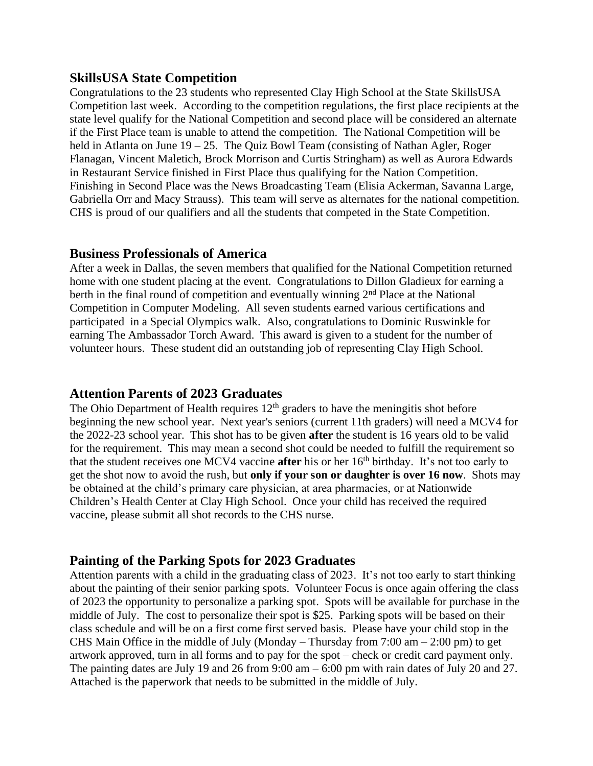#### **SkillsUSA State Competition**

Congratulations to the 23 students who represented Clay High School at the State SkillsUSA Competition last week. According to the competition regulations, the first place recipients at the state level qualify for the National Competition and second place will be considered an alternate if the First Place team is unable to attend the competition. The National Competition will be held in Atlanta on June 19 – 25. The Quiz Bowl Team (consisting of Nathan Agler, Roger Flanagan, Vincent Maletich, Brock Morrison and Curtis Stringham) as well as Aurora Edwards in Restaurant Service finished in First Place thus qualifying for the Nation Competition. Finishing in Second Place was the News Broadcasting Team (Elisia Ackerman, Savanna Large, Gabriella Orr and Macy Strauss). This team will serve as alternates for the national competition. CHS is proud of our qualifiers and all the students that competed in the State Competition.

#### **Business Professionals of America**

After a week in Dallas, the seven members that qualified for the National Competition returned home with one student placing at the event. Congratulations to Dillon Gladieux for earning a berth in the final round of competition and eventually winning 2<sup>nd</sup> Place at the National Competition in Computer Modeling. All seven students earned various certifications and participated in a Special Olympics walk. Also, congratulations to Dominic Ruswinkle for earning The Ambassador Torch Award. This award is given to a student for the number of volunteer hours. These student did an outstanding job of representing Clay High School.

## **Attention Parents of 2023 Graduates**

The Ohio Department of Health requires  $12<sup>th</sup>$  graders to have the meningitis shot before beginning the new school year. Next year's seniors (current 11th graders) will need a MCV4 for the 2022-23 school year. This shot has to be given **after** the student is 16 years old to be valid for the requirement. This may mean a second shot could be needed to fulfill the requirement so that the student receives one MCV4 vaccine **after** his or her 16th birthday. It's not too early to get the shot now to avoid the rush, but **only if your son or daughter is over 16 now**. Shots may be obtained at the child's primary care physician, at area pharmacies, or at Nationwide Children's Health Center at Clay High School. Once your child has received the required vaccine, please submit all shot records to the CHS nurse.

## **Painting of the Parking Spots for 2023 Graduates**

Attention parents with a child in the graduating class of 2023. It's not too early to start thinking about the painting of their senior parking spots. Volunteer Focus is once again offering the class of 2023 the opportunity to personalize a parking spot. Spots will be available for purchase in the middle of July. The cost to personalize their spot is \$25. Parking spots will be based on their class schedule and will be on a first come first served basis. Please have your child stop in the CHS Main Office in the middle of July (Monday – Thursday from  $7:00 \text{ am} - 2:00 \text{ pm}$ ) to get artwork approved, turn in all forms and to pay for the spot – check or credit card payment only. The painting dates are July 19 and 26 from 9:00 am – 6:00 pm with rain dates of July 20 and 27. Attached is the paperwork that needs to be submitted in the middle of July.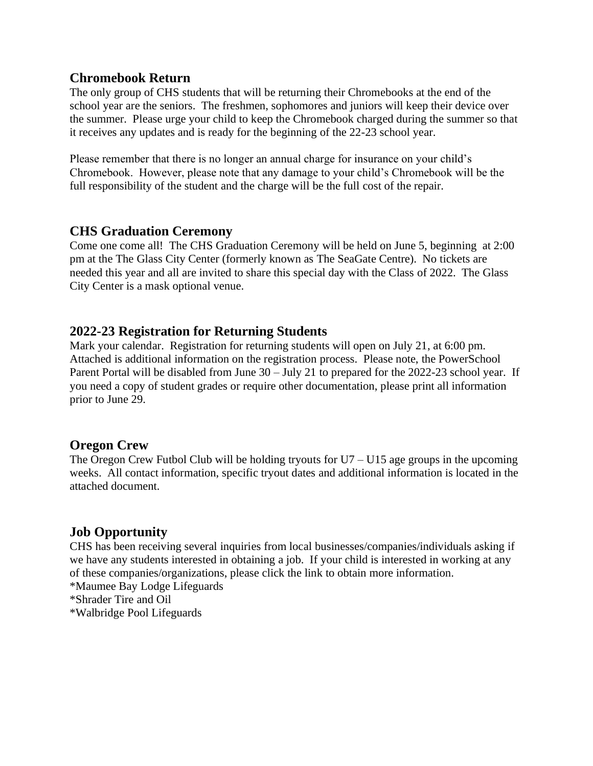#### **Chromebook Return**

The only group of CHS students that will be returning their Chromebooks at the end of the school year are the seniors. The freshmen, sophomores and juniors will keep their device over the summer. Please urge your child to keep the Chromebook charged during the summer so that it receives any updates and is ready for the beginning of the 22-23 school year.

Please remember that there is no longer an annual charge for insurance on your child's Chromebook. However, please note that any damage to your child's Chromebook will be the full responsibility of the student and the charge will be the full cost of the repair.

## **CHS Graduation Ceremony**

Come one come all! The CHS Graduation Ceremony will be held on June 5, beginning at 2:00 pm at the The Glass City Center (formerly known as The SeaGate Centre). No tickets are needed this year and all are invited to share this special day with the Class of 2022. The Glass City Center is a mask optional venue.

## **2022-23 Registration for Returning Students**

Mark your calendar. Registration for returning students will open on July 21, at 6:00 pm. Attached is additional information on the registration process. Please note, the PowerSchool Parent Portal will be disabled from June 30 – July 21 to prepared for the 2022-23 school year. If you need a copy of student grades or require other documentation, please print all information prior to June 29.

## **Oregon Crew**

The Oregon Crew Futbol Club will be holding tryouts for  $U7 - U15$  age groups in the upcoming weeks. All contact information, specific tryout dates and additional information is located in the attached document.

## **Job Opportunity**

CHS has been receiving several inquiries from local businesses/companies/individuals asking if we have any students interested in obtaining a job. If your child is interested in working at any of these companies/organizations, please click the link to obtain more information. \*Maumee Bay Lodge Lifeguards \*Shrader Tire and Oil \*Walbridge Pool Lifeguards